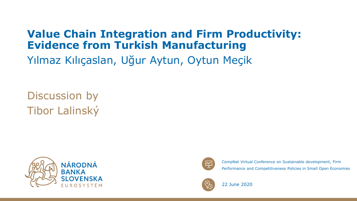### **Value Chain Integration and Firm Productivity: Evidence from Turkish Manufacturing**

Yılmaz Kılıçaslan, Uğur Aytun, Oytun Meçik

Discussion by Tibor Lalinský





CompNet Virtual Conference on Sustainable development, Firm Performance and Competitiveness Policies in Small Open Economies



22 June 2020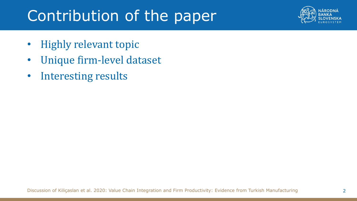# Contribution of the paper



- Highly relevant topic
- Unique firm-level dataset
- Interesting results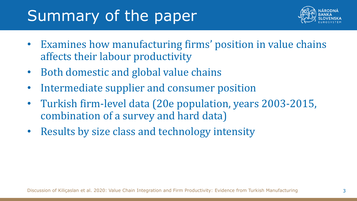# Summary of the paper



- Examines how manufacturing firms' position in value chains affects their labour productivity
- Both domestic and global value chains
- Intermediate supplier and consumer position
- Turkish firm-level data (20e population, years 2003-2015, combination of a survey and hard data)
- Results by size class and technology intensity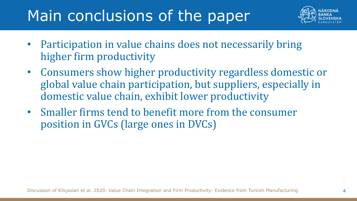# Main conclusions of the paper



- Participation in value chains does not necessarily bring higher firm productivity
- Consumers show higher productivity regardless domestic or global value chain participation, but suppliers, especially in domestic value chain, exhibit lower productivity
- Smaller firms tend to benefit more from the consumer position in GVCs (large ones in DVCs)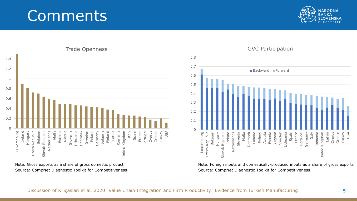### **Comments**





Source: CompNet Diagnostic Toolkit for Competitiveness Note: Gross exports as a share of gross domestic product



Source: CompNet Diagnostic Toolkit for Competitiveness Note: Foreign inputs and domestically-produced inputs as a share of gross exports

#### GVC Participation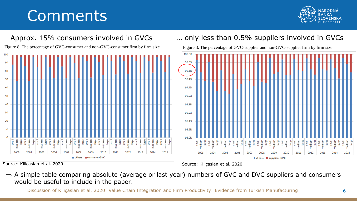## **Comments**

would be useful to include in the paper.





 $\Rightarrow$  A simple table comparing absolute (average or last year) numbers of GVC and DVC suppliers and consumers

Discussion of Kiliçaslan et al. 2020: Value Chain Integration and Firm Productivity: Evidence from Turkish Manufacturing 6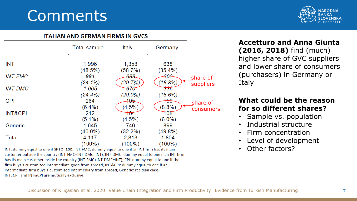### **Comments**



#### **ITALIAN AND GERMAN FIRMS IN GVCS**

|                    | Total sample                      | Italy                                   | Germany                       |           |
|--------------------|-----------------------------------|-----------------------------------------|-------------------------------|-----------|
| <b>INT</b>         | 1,996<br>(48.5%)                  | 1,358<br>(58.7%)                        | 638<br>$(35.4\%)$             |           |
| <b>INT-FMC</b>     | 991                               | 688                                     | <del>303</del>                | share of  |
| <b>INT-DMC</b>     | $(24.1\%)$<br>1,005<br>$(24.4\%)$ | (29.7%)<br><del>670</del><br>$(29.0\%)$ | (16.8%)<br>335<br>(18.6%)     | suppliers |
| <b>CPI</b>         | 264<br>$(6.4\%)$                  | <del>105</del><br>(4.5%                 | <del>159</del><br>(8.8%)      | share of  |
| <b>INT&amp;CPI</b> | 212                               | 104                                     | 108                           | consumers |
| Generic            | $(5.1\%)$<br>1,645                | $(4.5\%)$<br>746                        | $(6.0\%)$<br>899              |           |
| Total              | $(40.0\%)$<br>4,117<br>$(100\%)$  | $(32.2\%)$<br>2,313<br>$(100\%)$        | $(49.8\%)$<br>1,804<br>(100%) |           |

INT: dummy equal to one if SPTO=100; INT-FMC: dummy equal to one if an INT firm has its main customer outside the country (INT-FMC+INT-DMC=INT); INT-DMC: dummy equal to one if an INT firm has its main customer inside the country (INT-FMC+INT-DMC=INT); CPI: dummy equal to one if the firm buys a customized intermediate good from abroad; INT&CPI: dummy equal to one if an intermediate firm buys a customized intermediary from abroad; Generic: residual class. INT, CPI, and INT&CPI are mutually exclusive.

**Accetturo and Anna Giunta (2016, 2018)** find (much) higher share of GVC suppliers and lower share of consumers (purchasers) in Germany or Italy

#### **What could be the reason for so different shares?**

- Sample vs. population
- Industrial structure
- Firm concentration
- Level of development
- Other factors?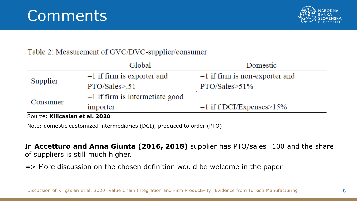

### Table 2: Measurement of GVC/DVC-supplier/consumer

|                                | Global                            | Domestic                         |  |  |
|--------------------------------|-----------------------------------|----------------------------------|--|--|
| Supplier                       | $=1$ if firm is exporter and      | $=1$ if firm is non-exporter and |  |  |
|                                | PTO/Sales > .51                   | $PTO/Sales > 51\%$               |  |  |
| Consumer                       | $=1$ if firm is intermetiate good |                                  |  |  |
|                                | importer                          | $=1$ if f DCI/Expenses $>15\%$   |  |  |
| Source: Kiliçaslan et al. 2020 |                                   |                                  |  |  |

Note: domestic customized intermediaries (DCI), produced to order (PTO)

In **Accetturo and Anna Giunta (2016, 2018)** supplier has PTO/sales=100 and the share of suppliers is still much higher.

=> More discussion on the chosen definition would be welcome in the paper